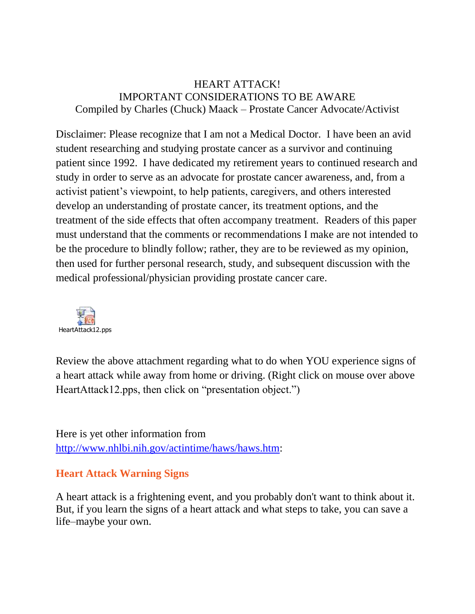#### HEART ATTACK! IMPORTANT CONSIDERATIONS TO BE AWARE Compiled by Charles (Chuck) Maack – Prostate Cancer Advocate/Activist

Disclaimer: Please recognize that I am not a Medical Doctor. I have been an avid student researching and studying prostate cancer as a survivor and continuing patient since 1992. I have dedicated my retirement years to continued research and study in order to serve as an advocate for prostate cancer awareness, and, from a activist patient's viewpoint, to help patients, caregivers, and others interested develop an understanding of prostate cancer, its treatment options, and the treatment of the side effects that often accompany treatment. Readers of this paper must understand that the comments or recommendations I make are not intended to be the procedure to blindly follow; rather, they are to be reviewed as my opinion, then used for further personal research, study, and subsequent discussion with the medical professional/physician providing prostate cancer care.



Review the above attachment regarding what to do when YOU experience signs of a heart attack while away from home or driving. (Right click on mouse over above HeartAttack12.pps, then click on "presentation object.")

Here is yet other information from [http://www.nhlbi.nih.gov/actintime/haws/haws.htm:](http://www.nhlbi.nih.gov/actintime/haws/haws.htm)

#### **Heart Attack Warning Signs**

A heart attack is a frightening event, and you probably don't want to think about it. But, if you learn the signs of a heart attack and what steps to take, you can save a life–maybe your own.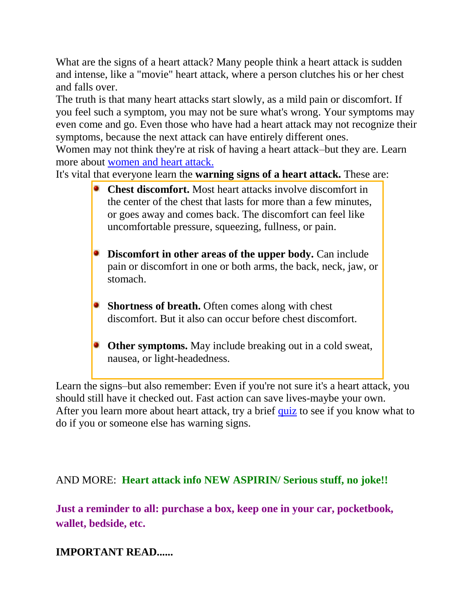What are the signs of a heart attack? Many people think a heart attack is sudden and intense, like a "movie" heart attack, where a person clutches his or her chest and falls over.

The truth is that many heart attacks start slowly, as a mild pain or discomfort. If you feel such a symptom, you may not be sure what's wrong. Your symptoms may even come and go. Even those who have had a heart attack may not recognize their symptoms, because the next attack can have entirely different ones.

Women may not think they're at risk of having a heart attack–but they are. Learn more about [women and heart attack.](http://www.nhlbi.nih.gov/actintime/haws/women.htm)

It's vital that everyone learn the **warning signs of a heart attack.** These are:

- **Chest discomfort.** Most heart attacks involve discomfort in the center of the chest that lasts for more than a few minutes, or goes away and comes back. The discomfort can feel like uncomfortable pressure, squeezing, fullness, or pain.
- **Discomfort in other areas of the upper body.** Can include pain or discomfort in one or both arms, the back, neck, jaw, or stomach.
- **Shortness of breath.** Often comes along with chest discomfort. But it also can occur before chest discomfort.
- **Other symptoms.** May include breaking out in a cold sweat, nausea, or light-headedness.

Learn the signs–but also remember: Even if you're not sure it's a heart attack, you should still have it checked out. Fast action can save lives-maybe your own. After you learn more about heart attack, try a brief [quiz](http://www.nhlbi.nih.gov/actintime/taha/quiz.htm) to see if you know what to do if you or someone else has warning signs.

AND MORE: **Heart attack info NEW ASPIRIN/ Serious stuff, no joke!!**

**Just a reminder to all: purchase a box, keep one in your car, pocketbook, wallet, bedside, etc.**

### **IMPORTANT READ......**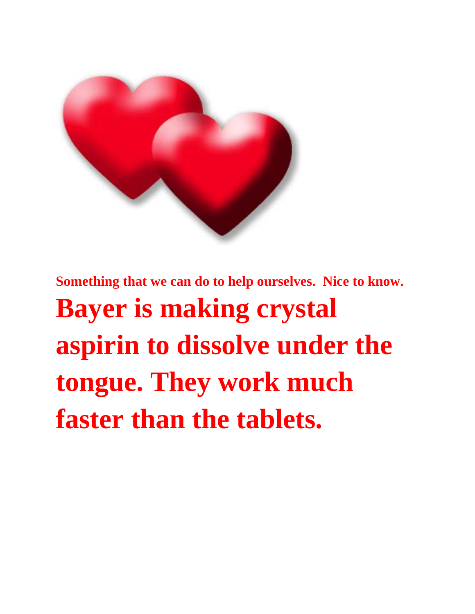

**Something that we can do to help ourselves. Nice to know. Bayer is making crystal aspirin to dissolve under the tongue. They work much faster than the tablets.**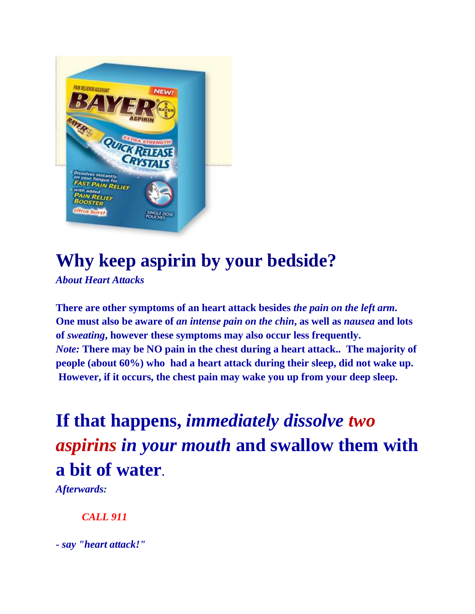

## **Why keep aspirin by your bedside?**

*About Heart Attacks*

**There are other symptoms of an heart attack besides** *the pain on the left arm.*  **One must also be aware of** *an intense pain on the chin***, as well as** *nausea* **and lots of** *sweating***, however these symptoms may also occur less frequently.** *Note:* **There may be NO pain in the chest during a heart attack.. The majority of people (about 60%) who had a heart attack during their sleep, did not wake up. However, if it occurs, the chest pain may wake you up from your deep sleep.**

## **If that happens,** *immediately dissolve two aspirins in your mouth* **and swallow them with a bit of water.**

*Afterwards:*

*CALL 911*

**-** *say "heart attack!"*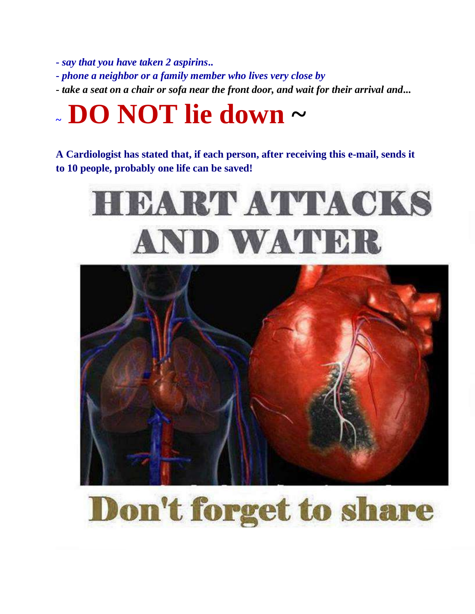- **-** *say that you have taken 2 aspirins***..**
- **-** *phone a neighbor or a family member who lives very close by*
- **-** *take a seat on a chair or sofa near the front door, and wait for their arrival and***...**



**A Cardiologist has stated that, if each person, after receiving this e-mail, sends it to 10 people, probably one life can be saved!**

# **IEART ATTACKS** AND WATER



## **Don't forget to share**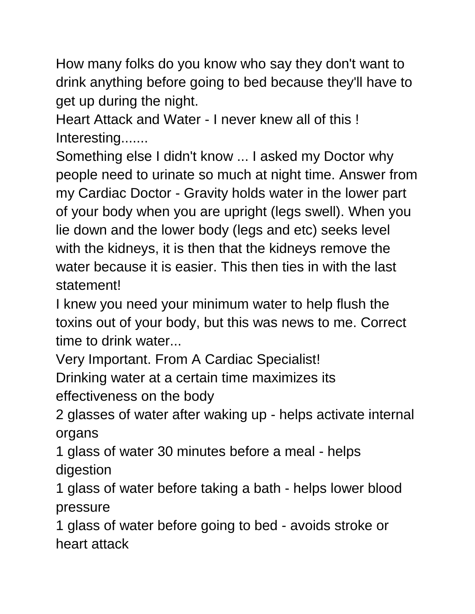How many folks do you know who say they don't want to drink anything before going to bed because they'll have to get up during the night.

Heart Attack and Water - I never knew all of this ! Interesting.......

Something else I didn't know ... I asked my Doctor why people need to urinate so much at night time. Answer from my Cardiac Doctor - Gravity holds water in the lower part of your body when you are upright (legs swell). When you lie down and the lower body (legs and etc) seeks level with the kidneys, it is then that the kidneys remove the water because it is easier. This then ties in with the last statement!

I knew you need your minimum water to help flush the toxins out of your body, but this was news to me. Correct time to drink water...

Very Important. From A Cardiac Specialist!

Drinking water at a certain time maximizes its effectiveness on the body

2 glasses of water after waking up - helps activate internal organs

1 glass of water 30 minutes before a meal - helps digestion

1 glass of water before taking a bath - helps lower blood pressure

1 glass of water before going to bed - avoids stroke or heart attack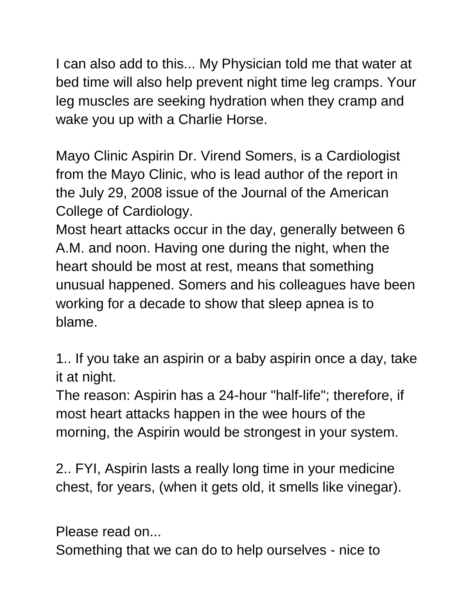I can also add to this... My Physician told me that water at bed time will also help prevent night time leg cramps. Your leg muscles are seeking hydration when they cramp and wake you up with a Charlie Horse.

Mayo Clinic Aspirin Dr. Virend Somers, is a Cardiologist from the Mayo Clinic, who is lead author of the report in the July 29, 2008 issue of the Journal of the American College of Cardiology.

Most heart attacks occur in the day, generally between 6 A.M. and noon. Having one during the night, when the heart should be most at rest, means that something unusual happened. Somers and his colleagues have been working for a decade to show that sleep apnea is to blame.

1.. If you take an aspirin or a baby aspirin once a day, take it at night.

The reason: Aspirin has a 24-hour "half-life"; therefore, if most heart attacks happen in the wee hours of the morning, the Aspirin would be strongest in your system.

2.. FYI, Aspirin lasts a really long time in your medicine chest, for years, (when it gets old, it smells like vinegar).

Please read on...

Something that we can do to help ourselves - nice to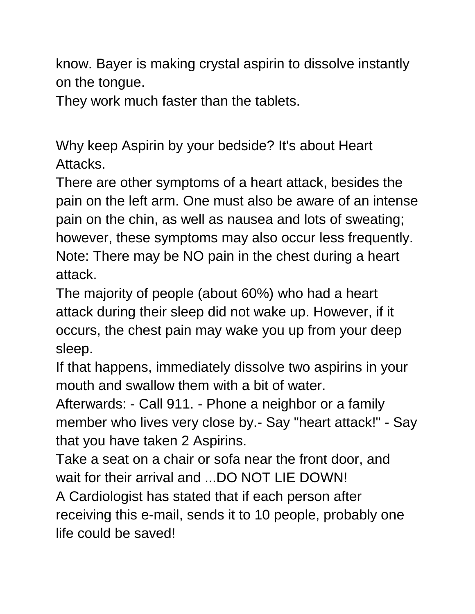know. Bayer is making crystal aspirin to dissolve instantly on the tongue.

They work much faster than the tablets.

Why keep Aspirin by your bedside? It's about Heart Attacks.

There are other symptoms of a heart attack, besides the pain on the left arm. One must also be aware of an intense pain on the chin, as well as nausea and lots of sweating; however, these symptoms may also occur less frequently. Note: There may be NO pain in the chest during a heart attack.

The majority of people (about 60%) who had a heart attack during their sleep did not wake up. However, if it occurs, the chest pain may wake you up from your deep sleep.

If that happens, immediately dissolve two aspirins in your mouth and swallow them with a bit of water.

Afterwards: - Call 911. - Phone a neighbor or a family member who lives very close by.- Say "heart attack!" - Say that you have taken 2 Aspirins.

Take a seat on a chair or sofa near the front door, and wait for their arrival and ...DO NOT LIE DOWN!

A Cardiologist has stated that if each person after receiving this e-mail, sends it to 10 people, probably one life could be saved!